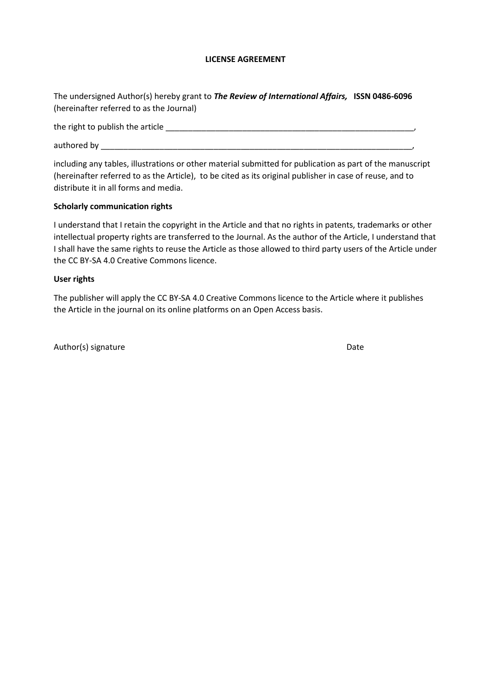## **LICENSE AGREEMENT**

The undersigned Author(s) hereby grant to *The Review of International Affairs,* **ISSN 0486-6096**  (hereinafter referred to as the Journal)

the right to publish the article \_\_\_\_\_\_\_\_\_\_\_\_\_\_\_\_\_\_\_\_\_\_\_\_\_\_\_\_\_\_\_\_\_\_\_\_\_\_\_\_\_\_\_\_\_\_\_\_\_\_\_\_\_\_\_,

authored by \_\_\_\_\_\_\_\_\_\_\_\_\_\_\_\_\_\_\_\_\_\_\_\_\_\_\_\_\_\_\_\_\_\_\_\_\_\_\_\_\_\_\_\_\_\_\_\_\_\_\_\_\_\_\_\_\_\_\_\_\_\_\_\_\_\_\_\_\_,

including any tables, illustrations or other material submitted for publication as part of the manuscript (hereinafter referred to as the Article), to be cited as its original publisher in case of reuse, and to distribute it in all forms and media.

## **Scholarly communication rights**

I understand that I retain the copyright in the Article and that no rights in patents, trademarks or other intellectual property rights are transferred to the Journal. As the author of the Article, I understand that I shall have the same rights to reuse the Article as those allowed to third party users of the Article under the CC BY-SA 4.0 Creative Commons licence.

## **User rights**

The publisher will apply the CC BY-SA 4.0 Creative Commons licence to the Article where it publishes the Article in the journal on its online platforms on an Open Access basis.

Author(s) signature Date